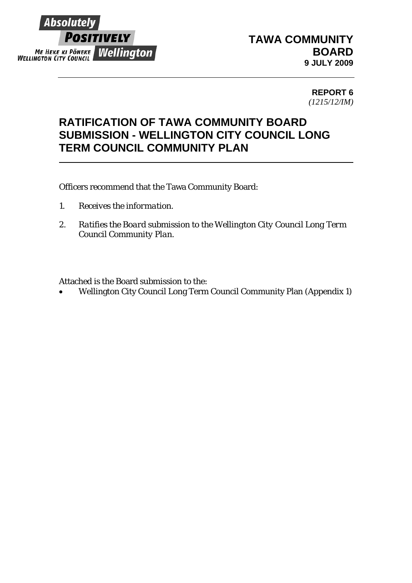

## **TAWA COMMUNITY BOARD 9 JULY 2009**

**REPORT 6**  *(1215/12/IM)*

## **RATIFICATION OF TAWA COMMUNITY BOARD SUBMISSION - WELLINGTON CITY COUNCIL LONG TERM COUNCIL COMMUNITY PLAN**

Officers recommend that the Tawa Community Board:

- *1. Receives the information.*
- *2. Ratifies the Board submission to the Wellington City Council Long Term Council Community Plan.*

Attached is the Board submission to the:

• Wellington City Council Long Term Council Community Plan (Appendix 1)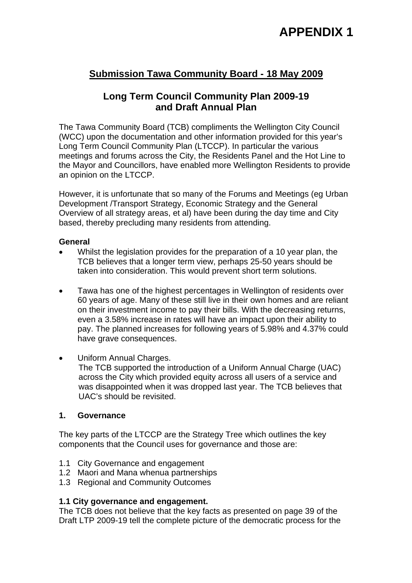## **APPENDIX 1**

### **Submission Tawa Community Board - 18 May 2009**

### **Long Term Council Community Plan 2009-19 and Draft Annual Plan**

The Tawa Community Board (TCB) compliments the Wellington City Council (WCC) upon the documentation and other information provided for this year's Long Term Council Community Plan (LTCCP). In particular the various meetings and forums across the City, the Residents Panel and the Hot Line to the Mayor and Councillors, have enabled more Wellington Residents to provide an opinion on the LTCCP.

However, it is unfortunate that so many of the Forums and Meetings (eg Urban Development /Transport Strategy, Economic Strategy and the General Overview of all strategy areas, et al) have been during the day time and City based, thereby precluding many residents from attending.

#### **General**

- Whilst the legislation provides for the preparation of a 10 year plan, the TCB believes that a longer term view, perhaps 25-50 years should be taken into consideration. This would prevent short term solutions.
- Tawa has one of the highest percentages in Wellington of residents over 60 years of age. Many of these still live in their own homes and are reliant on their investment income to pay their bills. With the decreasing returns, even a 3.58% increase in rates will have an impact upon their ability to pay. The planned increases for following years of 5.98% and 4.37% could have grave consequences.
- Uniform Annual Charges.

The TCB supported the introduction of a Uniform Annual Charge (UAC) across the City which provided equity across all users of a service and was disappointed when it was dropped last year. The TCB believes that UAC's should be revisited.

#### **1. Governance**

The key parts of the LTCCP are the Strategy Tree which outlines the key components that the Council uses for governance and those are:

- 1.1 City Governance and engagement
- 1.2 Maori and Mana whenua partnerships
- 1.3 Regional and Community Outcomes

#### **1.1 City governance and engagement.**

The TCB does not believe that the key facts as presented on page 39 of the Draft LTP 2009-19 tell the complete picture of the democratic process for the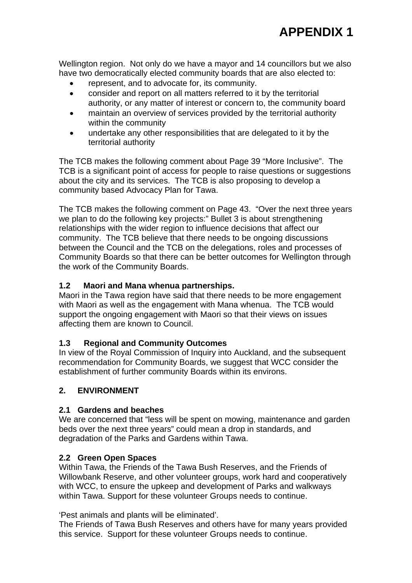Wellington region. Not only do we have a mayor and 14 councillors but we also have two democratically elected community boards that are also elected to:

- represent, and to advocate for, its community.
- consider and report on all matters referred to it by the territorial authority, or any matter of interest or concern to, the community board
- maintain an overview of services provided by the territorial authority within the community
- undertake any other responsibilities that are delegated to it by the territorial authority

The TCB makes the following comment about Page 39 "More Inclusive". The TCB is a significant point of access for people to raise questions or suggestions about the city and its services. The TCB is also proposing to develop a community based Advocacy Plan for Tawa.

The TCB makes the following comment on Page 43. "Over the next three years we plan to do the following key projects:" Bullet 3 is about strengthening relationships with the wider region to influence decisions that affect our community. The TCB believe that there needs to be ongoing discussions between the Council and the TCB on the delegations, roles and processes of Community Boards so that there can be better outcomes for Wellington through the work of the Community Boards.

#### **1.2 Maori and Mana whenua partnerships.**

Maori in the Tawa region have said that there needs to be more engagement with Maori as well as the engagement with Mana whenua. The TCB would support the ongoing engagement with Maori so that their views on issues affecting them are known to Council.

#### **1.3 Regional and Community Outcomes**

In view of the Royal Commission of Inquiry into Auckland, and the subsequent recommendation for Community Boards, we suggest that WCC consider the establishment of further community Boards within its environs.

#### **2. ENVIRONMENT**

#### **2.1 Gardens and beaches**

We are concerned that "less will be spent on mowing, maintenance and garden beds over the next three years" could mean a drop in standards, and degradation of the Parks and Gardens within Tawa.

#### **2.2 Green Open Spaces**

Within Tawa, the Friends of the Tawa Bush Reserves, and the Friends of Willowbank Reserve, and other volunteer groups, work hard and cooperatively with WCC, to ensure the upkeep and development of Parks and walkways within Tawa. Support for these volunteer Groups needs to continue.

'Pest animals and plants will be eliminated'.

The Friends of Tawa Bush Reserves and others have for many years provided this service. Support for these volunteer Groups needs to continue.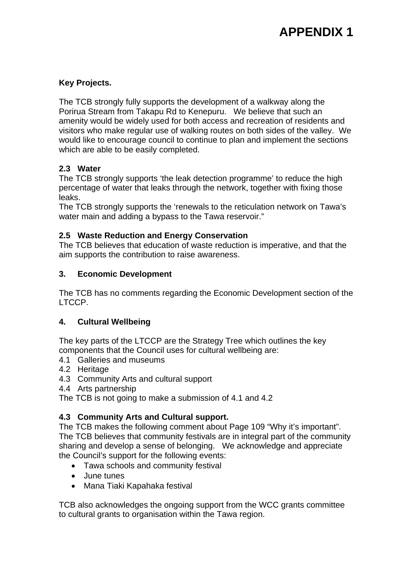# **APPENDIX 1**

#### **Key Projects.**

The TCB strongly fully supports the development of a walkway along the Porirua Stream from Takapu Rd to Kenepuru. We believe that such an amenity would be widely used for both access and recreation of residents and visitors who make regular use of walking routes on both sides of the valley. We would like to encourage council to continue to plan and implement the sections which are able to be easily completed.

#### **2.3 Water**

The TCB strongly supports 'the leak detection programme' to reduce the high percentage of water that leaks through the network, together with fixing those leaks.

The TCB strongly supports the 'renewals to the reticulation network on Tawa's water main and adding a bypass to the Tawa reservoir."

#### **2.5 Waste Reduction and Energy Conservation**

The TCB believes that education of waste reduction is imperative, and that the aim supports the contribution to raise awareness.

#### **3. Economic Development**

The TCB has no comments regarding the Economic Development section of the LTCCP.

#### **4. Cultural Wellbeing**

The key parts of the LTCCP are the Strategy Tree which outlines the key components that the Council uses for cultural wellbeing are:

- 4.1 Galleries and museums
- 4.2 Heritage
- 4.3 Community Arts and cultural support
- 4.4 Arts partnership

The TCB is not going to make a submission of 4.1 and 4.2

#### **4.3 Community Arts and Cultural support.**

The TCB makes the following comment about Page 109 "Why it's important". The TCB believes that community festivals are in integral part of the community sharing and develop a sense of belonging. We acknowledge and appreciate the Council's support for the following events:

- Tawa schools and community festival
- June tunes
- Mana Tiaki Kapahaka festival

TCB also acknowledges the ongoing support from the WCC grants committee to cultural grants to organisation within the Tawa region.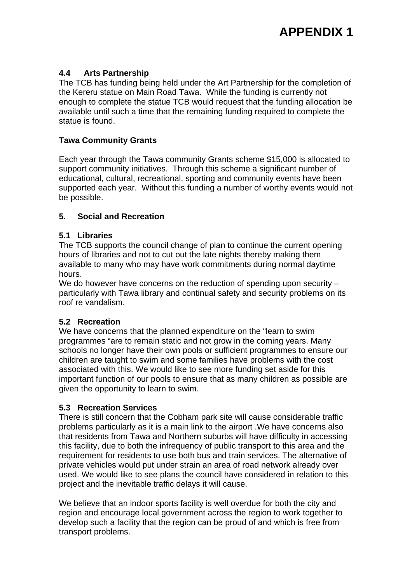#### **4.4 Arts Partnership**

The TCB has funding being held under the Art Partnership for the completion of the Kereru statue on Main Road Tawa. While the funding is currently not enough to complete the statue TCB would request that the funding allocation be available until such a time that the remaining funding required to complete the statue is found.

#### **Tawa Community Grants**

Each year through the Tawa community Grants scheme \$15,000 is allocated to support community initiatives. Through this scheme a significant number of educational, cultural, recreational, sporting and community events have been supported each year. Without this funding a number of worthy events would not be possible.

#### **5. Social and Recreation**

#### **5.1 Libraries**

The TCB supports the council change of plan to continue the current opening hours of libraries and not to cut out the late nights thereby making them available to many who may have work commitments during normal daytime hours.

We do however have concerns on the reduction of spending upon security – particularly with Tawa library and continual safety and security problems on its roof re vandalism.

#### **5.2 Recreation**

We have concerns that the planned expenditure on the "learn to swim programmes "are to remain static and not grow in the coming years. Many schools no longer have their own pools or sufficient programmes to ensure our children are taught to swim and some families have problems with the cost associated with this. We would like to see more funding set aside for this important function of our pools to ensure that as many children as possible are given the opportunity to learn to swim.

#### **5.3 Recreation Services**

There is still concern that the Cobham park site will cause considerable traffic problems particularly as it is a main link to the airport .We have concerns also that residents from Tawa and Northern suburbs will have difficulty in accessing this facility, due to both the infrequency of public transport to this area and the requirement for residents to use both bus and train services. The alternative of private vehicles would put under strain an area of road network already over used. We would like to see plans the council have considered in relation to this project and the inevitable traffic delays it will cause.

We believe that an indoor sports facility is well overdue for both the city and region and encourage local government across the region to work together to develop such a facility that the region can be proud of and which is free from transport problems.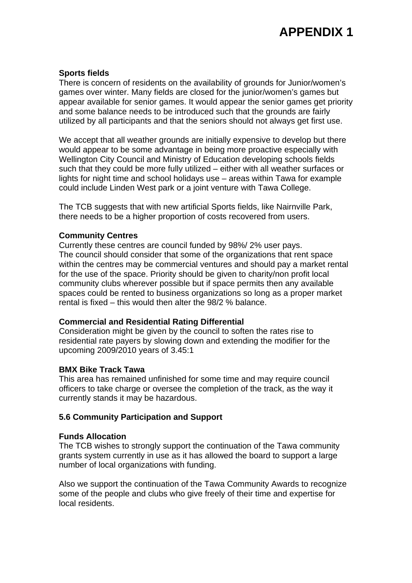#### **Sports fields**

There is concern of residents on the availability of grounds for Junior/women's games over winter. Many fields are closed for the junior/women's games but appear available for senior games. It would appear the senior games get priority and some balance needs to be introduced such that the grounds are fairly utilized by all participants and that the seniors should not always get first use.

We accept that all weather grounds are initially expensive to develop but there would appear to be some advantage in being more proactive especially with Wellington City Council and Ministry of Education developing schools fields such that they could be more fully utilized – either with all weather surfaces or lights for night time and school holidays use – areas within Tawa for example could include Linden West park or a joint venture with Tawa College.

The TCB suggests that with new artificial Sports fields, like Nairnville Park, there needs to be a higher proportion of costs recovered from users.

#### **Community Centres**

Currently these centres are council funded by 98%/ 2% user pays. The council should consider that some of the organizations that rent space within the centres may be commercial ventures and should pay a market rental for the use of the space. Priority should be given to charity/non profit local community clubs wherever possible but if space permits then any available spaces could be rented to business organizations so long as a proper market rental is fixed – this would then alter the 98/2 % balance.

#### **Commercial and Residential Rating Differential**

Consideration might be given by the council to soften the rates rise to residential rate payers by slowing down and extending the modifier for the upcoming 2009/2010 years of 3.45:1

#### **BMX Bike Track Tawa**

This area has remained unfinished for some time and may require council officers to take charge or oversee the completion of the track, as the way it currently stands it may be hazardous.

#### **5.6 Community Participation and Support**

#### **Funds Allocation**

The TCB wishes to strongly support the continuation of the Tawa community grants system currently in use as it has allowed the board to support a large number of local organizations with funding.

Also we support the continuation of the Tawa Community Awards to recognize some of the people and clubs who give freely of their time and expertise for local residents.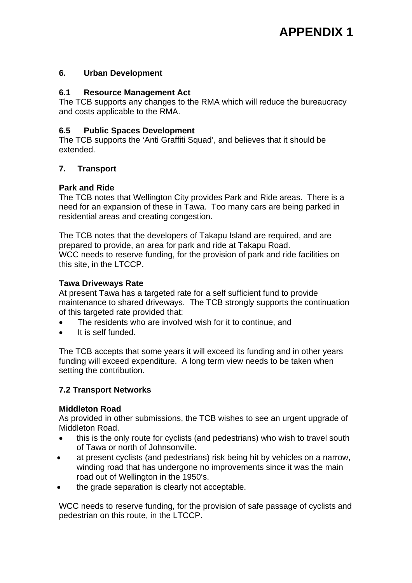#### **6. Urban Development**

#### **6.1 Resource Management Act**

The TCB supports any changes to the RMA which will reduce the bureaucracy and costs applicable to the RMA.

#### **6.5 Public Spaces Development**

The TCB supports the 'Anti Graffiti Squad', and believes that it should be extended.

#### **7. Transport**

#### **Park and Ride**

The TCB notes that Wellington City provides Park and Ride areas. There is a need for an expansion of these in Tawa. Too many cars are being parked in residential areas and creating congestion.

The TCB notes that the developers of Takapu Island are required, and are prepared to provide, an area for park and ride at Takapu Road. WCC needs to reserve funding, for the provision of park and ride facilities on this site, in the LTCCP.

#### **Tawa Driveways Rate**

At present Tawa has a targeted rate for a self sufficient fund to provide maintenance to shared driveways. The TCB strongly supports the continuation of this targeted rate provided that:

- The residents who are involved wish for it to continue, and
- It is self funded.

The TCB accepts that some years it will exceed its funding and in other years funding will exceed expenditure. A long term view needs to be taken when setting the contribution.

#### **7.2 Transport Networks**

#### **Middleton Road**

As provided in other submissions, the TCB wishes to see an urgent upgrade of Middleton Road.

- this is the only route for cyclists (and pedestrians) who wish to travel south of Tawa or north of Johnsonville.
- at present cyclists (and pedestrians) risk being hit by vehicles on a narrow, winding road that has undergone no improvements since it was the main road out of Wellington in the 1950's.
- the grade separation is clearly not acceptable.

WCC needs to reserve funding, for the provision of safe passage of cyclists and pedestrian on this route, in the LTCCP.